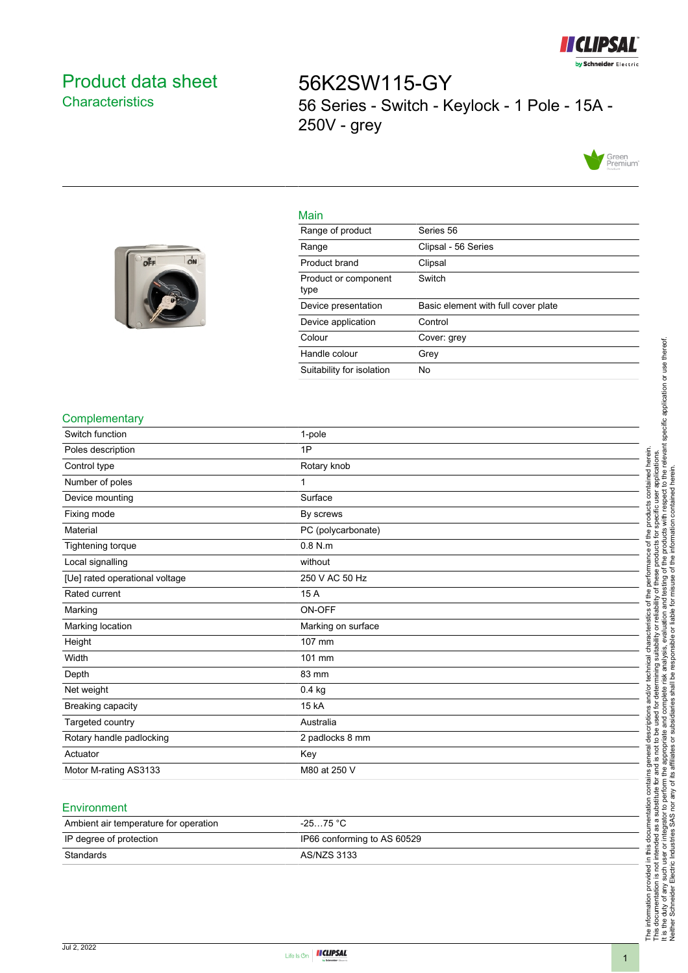

# <span id="page-0-0"></span>Product data sheet **Characteristics**

off

ON

56K2SW115-GY 56 Series - Switch - Keylock - 1 Pole - 15A - 250V - grey



#### Main

| Range of product             | Series 56                           |
|------------------------------|-------------------------------------|
| Range                        | Clipsal - 56 Series                 |
| Product brand                | Clipsal                             |
| Product or component<br>type | Switch                              |
| Device presentation          | Basic element with full cover plate |
| Device application           | Control                             |
| Colour                       | Cover: grey                         |
| Handle colour                | Grey                                |
| Suitability for isolation    | No                                  |

#### **Complementary**

| oompicmontary                  |                    |
|--------------------------------|--------------------|
| Switch function                | 1-pole             |
| Poles description              | 1P                 |
| Control type                   | Rotary knob        |
| Number of poles                | 1                  |
| Device mounting                | Surface            |
| Fixing mode                    | By screws          |
| Material                       | PC (polycarbonate) |
| Tightening torque              | $0.8$ N.m.         |
| Local signalling               | without            |
| [Ue] rated operational voltage | 250 V AC 50 Hz     |
| Rated current                  | 15 A               |
| Marking                        | ON-OFF             |
| Marking location               | Marking on surface |
| Height                         | 107 mm             |
| Width                          | 101 mm             |
| Depth                          | 83 mm              |
| Net weight                     | $0.4$ kg           |
| Breaking capacity              | 15 kA              |
| Targeted country               | Australia          |
| Rotary handle padlocking       | 2 padlocks 8 mm    |
| Actuator                       | Key                |
| Motor M-rating AS3133          | M80 at 250 V       |

### **Environment**

| Ambient air temperature for operation | $-2575 °C$                  |
|---------------------------------------|-----------------------------|
| IP degree of protection               | IP66 conforming to AS 60529 |
| Standards                             | AS/NZS 3133                 |